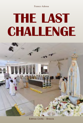Franco Adessa

# **THE LAST<br>CHALLENGE**



Editrice Civiltà – Brescia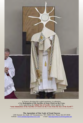

Is Francis elevating this synbol mostrance, in adoration, of the **Redemption of the Sacrifice of Jesus Christ on the Cross,** or he isglorifying the **Infinit Sun of Lucifer** which signifies the **"total elimination of the Sacrifice of Christ on the Cross from the face of the Earth"?**

**The Apostolate of Our Lady of Good Success**  1288 Summit Ave Suite 107 Oconomowoc, WI. 53066 USA Phone 262-567-0920 website: www.ourladyofgoodsuccess.com e-mail: ladyofgoodsuccess@sbcglobal.net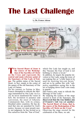## **The Last Challenge**

by **Dr. Franco Adessa**



**The Sacred Heart of Jesus is<br>
the source of the Redemp-<br>
tion of the Sacrifice of Christ<br>
on the Cross and represents the the source of the Redemption of the Sacrifice of Christ central and main reference point of the Sanctuary of Our Lady of Fatima.** The golden statue of the Sacred Heart, in fact, stands in the center of the square of the old Sanctuary of Our Lady of Fatima.

On his journey to Fatima in May, Francis attempted to ridicule the Message transmitted by Our Lady via Lucia: he never mentioned the vision of hell, the invitation to penance and conversion, the onset of Atheistic Communism that, with its crimes, bloodied entire countries; He has denied that sins are punished by God's justice, because we must preach mercy not judgment, he has invited us to free ourselves from the "fear of God,"

which Our Lady has taught us, and this "because the Fear of God is not befitting to whom is loved."

In addition, he targets the popular devotion to Our Lady, using the irony of not making Her as "a little Saint to be used for receiving low-cost favors," and not to be outline Her with "subjective sensibilities seeing Her in the act of holding down God's arm ready to punish."

Did Francis only want to ridicule the Message of Our Lady?

By studying the scenery of the stage erected in front of the Sanctuary, **we discovered that the true hidden aim of Francis's visit was yet another: The Sacred Heart of Jesus, that is, the source of the Redemption of the Sacrifice of Christ on the Cross!**

Observing the stage erected for the celebration of the Mass, we ask: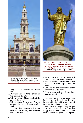

The golden statue of the Sacred Heart Stand at the center of the square of the Sanctuary of Our Lady of Fatima.

- 1. Why the color **black** as for a funeral?
- 2. Why are there **12 black panels** on the front of the altar?
- 3. Why are there **6 black candlesticks** around the altar?
- 4. Why are there **3 crowns of flowers** around the base of each candlestick?
- 5. Why are there **4 steps** with **2 side seats** and a **fifth step** with a **throne** behind the altar?



**The Sacred Heart of Jesusis the source of the Redemption of the Sacrifice of Christ on the Cross and represents the central point and the main reference** of the Sanctuary of Our Lady of Fatima.

- 6. Why is there a **"Christ"** detached from a cross, traced on the wall?
- 7. Why is there a **deformation** on the chest of "Christ" right over the heart?
- 8. Why are the dominant colors of the altar **white** and **black?**
- 9. Why is there a strange **7-ray Sunshaped** monstrance?

Let us, now, try to provide answers to these questions, in order to discover the true objective which refers to all those quirks and perplexities.

In this research, the guiding principle starts from the act of conflict on the liturgy, the conflict within the Church itself and from the goal of the **"pros-**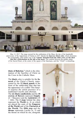

May 13, 2017. The stage erected for the celebration of the Mass, the day of the hundredth anniversary of the Apparitions of Fatima in 1917. Beside the **funerary black color,** which dominates the scenography, what strikes one is the **"Christ" detached from the white cross** and **his chest that has a deformation on the side of the heart.** The contrast between the golden statue of the Sacred Heart, at the center of the square of the Sanctuary, and this "Christ" is disturbing.

**titute of Babylon,"** which is the elimination of the Sacrifice of Christ on the Cross in the Catholic Mass.

The **black** color is suitable for the **funeral** of the Christ's Church, represented by the **12 black panels** in the front of the subdivided altar that has the appearance of a coffin! This funeral requires the initial presence of a traditional Crucifix and ciborium.

The **six black candlesticks** and the **18 crowns of flowers** represent **Empity** (6 = Masonry) and the **Antichrist** (18 = 666). The **4 steps** behind the altar represent the **World** (n. 4) on which are placed the seats of the **Emperor of the World** and of the **Patriarch of the World.** The **fifth step** and the **throne** represents Lucifer  $(n, 5)$  and the throne on which he sits, alongside

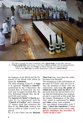

The Altar, Frontally, the altar is bordered, with a **black drape;** on the sides, there are **3** + **3 black candlesticks** each having, at the base, **3 flower crowns** with decreasing diameter. Behind the altar, there are **4 steps,** on which, laterally, two seats are placed**,** while on the **fifth step,** of smaller dimensions, is placed **1 central throne.**

the Emperor of the World and the Patriarch of the World with whom he forms the **Antichrist.**

The other meaning of the **4 + 1 steps** is to represent **"Lucifer's Church,"** symbolized by the 4 Masonries: the Scottish Rite of Perfection, the Ancient and Accepted Scottish Rite, the New Reformed Palladic Rite, the B' nai B'rith and Lucifer.

The **funeral of Christ's Church** provides for its replacement with the **"Church of Lucifer"** and a Masonic 15° degree ritual that resurrects the Man in the **Man-God,** making him leave a coffin on which a cross is engraved.

So, it is not Christ, but the **Masonic**

**Man-God** who, risen from the coffin, becomes God Himself!

The strangeness of the deformation on the chest of "Christ" only serves to attract the attention of those who can understand, indicating **the point at which the strike must be blew!** It is precisely from the Sacred Heart of Jesus that His Redemption has originated and it is precisely at this point that the Satanic Redemption of the Man-God, which is represented by **black** and **white** colors, must originate.

The sun-shaped monstrance with **7 rays, 7 times the Antichrist** (**7** times **666**) is the symbol of the will to **completely eliminate the Sacrifice of Christ on the Cross!**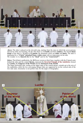

*Above:* The altar is placed on the eleventh step, starting from the step on which the seven persons dressed in white are kneeling. On the altar there is a **Crucifix** and three **chalices**. The frontal **black drape** of the altar is divided in **12 panels;** the dominant colors are **white** and **black.** The altar is dominated by a **"Christ" detached from a white cross** with an impression on his side. We wonder: is it a **funeral rite** for the **"dead"** and for the **"resurrected"?**

*Below:* The **6** black candlesticks, the **18** flower crowns at their base, together with the **2** lateral seats behind the altar and the central **throne,** represent the **Inverted Triangle of the Antichrist,** formed by **Lucifer,** the **Emperor of the World** and the **Patriarch of the World.**

The larger horizontal side, resting on the upper edge of the central throne, extends up to the axis of the candelabra, while the two converging oblique sides are supported by on the vertical sids of the two side seats. (Geometry is not perfect only for the angle of fotography).

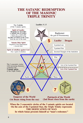#### **THE SATANIC REDEMPTION OF THE MASONIC TRIPLE TRINITY**

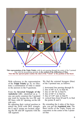

**This representation of the Triple Trinity,** with its axis passing through the center of the 5-pointed Star with the tip pointing upwards, **is the symbol of the deification of Man. Note that the upward point reaches the chest of the "Christ" at the position of the heart.**

With reference to the representation of the **Triple Trinity** (p. 8), we illustrate a confirmation of what is stated in the answers to the 9 questions.

From the **Inverted Triangle of the Antichrist** ABC, identified on p. 7, one can easily construct the 5-pointed star (red) by tracing the two DE and DF lines, with 36<sup>°</sup> opening, on the AB side axis.

By adjusting their vertical position to match the AGH with DGL triangle, the E and F points are located, aligning the DE and DF segments with the AB segment.

We find the external hexagon (blue) of the 5-pointed star, as follows:

- 1. horizontal line passing through D;
- 2. line of  $60^\circ$  to A, to find M;
- 3. line of -60° B, to find N;
- 4. line of 60° F, to find Q;
- 5. line of 120° and, to find P;
- 6. vertical lines from M and N, to find the points R and S.

By extending the 6 sides of the hexagon, you get the **6-pointed star.** The three circles of the Triple Trinity are concentric in the center of the 5-pointed Star.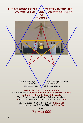#### THE MASONIC TRIPLE **TRINITY IMPRESSED ON THE ALTAR AND ON THE MAN-GOD OF LUCIFER**

The all-seeing eye  $hides$  the  $\bigwedge$  of Lucifer (gold circle) hides the supreme aim of the Antichrist:

**THE INFINITE SUN OF LUCIFER** that symbolizes the **total elimination of the Sacrifice of Christ on the Cross from the face of the earth.** This **"Sun"** is obtained with the following numbers: **6** (black candlesticks) x **18** (crowns of flowers) = **108**

> 108 = 6 times 18 ( $18 = 6 + 6 + 6 = 6$  times 666 The numbers **1** and **8 (18)** of **108** add **1 time 666**

> > Total: **7 times 666**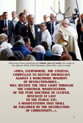

Observing Francis glorifying the **Infinite Sun of Lucifer,** the words of the supreme Head of the Illuminati, Albert Pike, come to mind:

**«THEN, EVERYWHERE, THE CITIZENS, AGAINST A WORLDWIDE MINORITY OF REVOLUTIONARIES... WILL RECEIVE THE TRUE LIGHT THROUGH THE UNIVERSAL MANIFESTATION OF THE PURE DOCTRINE OF LUCIFER. REVEALED AT LAST TO THE PUBLIC EYE: A MANIFESTATION THAT SHALL BE FOLLOWED BY THE DESTRUCTION OF CHRISTIANITY...». OF CHRISTIANITY...».**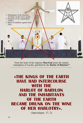

From the heart of the impious **Man-God** pours the satanic redemption of Lucifer, glorified by the **Harlot of Babylon"!**

## **«THE KINGS OF THE EARTH WITH THE HARLOT OF BABYLON AND THE INHABITANTS OF THE EARTH BECAME DRUNK ON THE WINE OF HER HARLOTRY».**

(Apocalypse, 17, 2)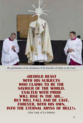

The glorification of the elimination of the Sacrifice of Christ on the Cross.

### **«BEHOLD BEAST WHO CLAIMS TO BE THE SAVIOUR OF THE WORLD. FXALTED WITH PRIDE WILL RISE IN THE AIR... BUT WILL FALL AND BE CAST, FOREVER, WITH HIS OWN, INTO THE ETERNAL ABYSS OF HELL!».**

**IOUR Lady of La Salette)**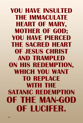**YOU HAVE INSULTED THE IMMACULATE HEART OF MARY, MOTHER OF GOD; YOU HAVE PIERCED THE SACRED HEART OF JESUS CHRIST AND TRAMPLED ON HIS REDEMPTION, WHICH YOU WANT TO REPLACE WITH THE SATANIC REDEMPTION OF THE MAN-GOD OF IUCIFFR. OF LUCIFER.**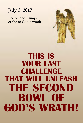

The second trumpet of the of God's wrath



# **THIS IS YOUR LAST CHALLENGE THAT WILL UNLEASH THE SECOND BOWL OF GOD'S WRATH! GOD'S WRATH!**